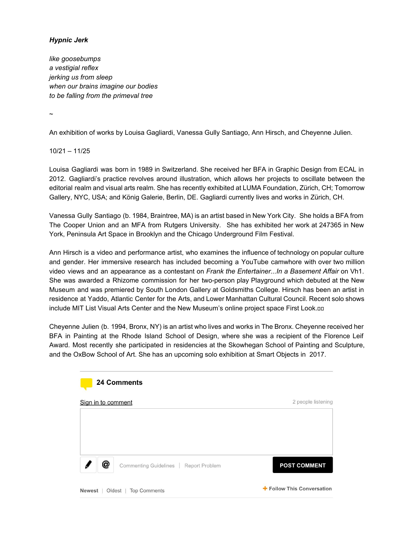# *Hypnic Jerk*

*like goosebumps a vestigial reflex jerking us from sleep when our brains imagine our bodies to be falling from the primeval tree*

 $\ddot{\phantom{0}}$ 

An exhibition of works by Louisa Gagliardi, Vanessa Gully Santiago, Ann Hirsch, and Cheyenne Julien.

10/21 – 11/25

Louisa Gagliardi was born in 1989 in Switzerland. She received her BFA in Graphic Design from ECAL in 2012. Gagliardi's practice revolves around illustration, which allows her projects to oscillate between the editorial realm and visual arts realm. She has recently exhibited at LUMA Foundation, Zürich, CH; Tomorrow Gallery, NYC, USA; and König Galerie, Berlin, DE. Gagliardi currently lives and works in Zürich, CH.

Vanessa Gully Santiago (b. 1984, Braintree, MA) is an artist based in New York City. She holds a BFA from The Cooper Union and an MFA from Rutgers University. She has exhibited her work at 247365 in New York, Peninsula Art Space in Brooklyn and the Chicago Underground Film Festival.

Ann Hirsch is a video and performance artist, who examines the influence of technology on popular culture and gender. Her immersive research has included becoming a YouTube camwhore with over two million video views and an appearance as a contestant on *Frank the Entertainer...In a Basement Affair* on Vh1. She was awarded a Rhizome commission for her two-person play Playground which debuted at the New Museum and was premiered by South London Gallery at Goldsmiths College. Hirsch has been an artist in residence at Yaddo, Atlantic Center for the Arts, and Lower Manhattan Cultural Council. Recent solo shows include MIT List Visual Arts Center and the New Museum's online project space First Look.nn

Cheyenne Julien (b. 1994, Bronx, NY) is an artist who lives and works in The Bronx. Cheyenne received her BFA in Painting at the Rhode Island School of Design, where she was a recipient of the Florence Leif Award. Most recently she participated in residencies at the Skowhegan School of Painting and Sculpture, and the OxBow School of Art. She has an upcoming solo exhibition at Smart Objects in 2017.

| <b>24 Comments</b>                             |                            |
|------------------------------------------------|----------------------------|
| Sign in to comment                             | 2 people listening         |
|                                                |                            |
|                                                |                            |
| @<br>Commenting Guidelines   Report Problem    | <b>POST COMMENT</b>        |
| <b>Newest</b><br><b>Top Comments</b><br>Oldest | + Follow This Conversation |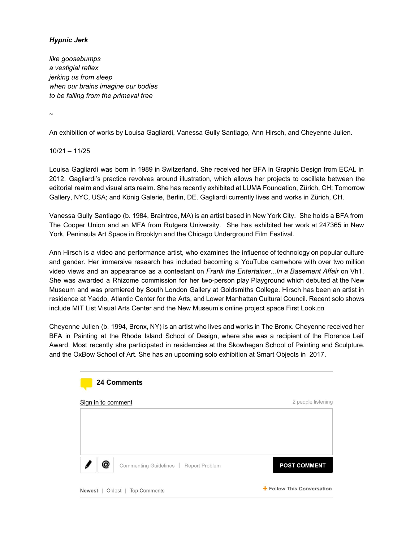#### howard.frump

These sleep starts are sometimes associated with depression. The shock and release of adrenaline can be so intense as to inhibit any further attempt to sleep, which only aggravates the situation further. During waking hours, an associated phenomena would be the panic attack.

**3 Like A Reply** 

### **GregoryisMaximus**

Oct 14, 2015

I also have a "different" explanation.

It is the "spirit body" starting to leave during the beginning of sleep, when the process is interrupted, and the spirit is "reeled back in".

It is an abrupt, almost shocking feeling to be in one "reality" and then rapidly moved to another. The sleep process usually makes it so we don't notice.

Weird dreams are actually when your spirit goes to different places, and gets those confused by superimposing them upon waking.

**3 Like & Reply** 

## Ge.

Oct 8, 2015

I've got a different explanation. In short: deep rest can trigger the release of deep-rooted stresses, so it may be startling, but in fact it's a good thing. In more detail: People practicing meditation know that there is a fourth state of consciousness underlying the common three: waking, sleeping, and dreaming. During a transition from one of those three states to another, the "background" fourth state may momentarily take over and cause the body&mind's self-repair mechanism to kick in. That starts to undo "knots of stress", which can include old stressful or traumatic experiences being "replayed" or abnormal situations in the body being redressed. This of course disturbs the restful state and we either wake up or have a strong dream.

Transcendental meditation is basically a technique to settle down the mind and body from waking consciousness to this fourth state of "transcendental consciousness", with the purpose of making the undoing of those knots of stress more smooth and more effective. Fewer knots in this perspective means: fewer obstacles to normal functioning, and less energy wasted on keeping abnormalities contained.

#### **S Like <Reply**

#### **LucyRhetorica**

Oct 7, 2015

I learned about myoclonic twitching (general name for the phenomenon) from a Sandman comic book. Who says comics can't be educational?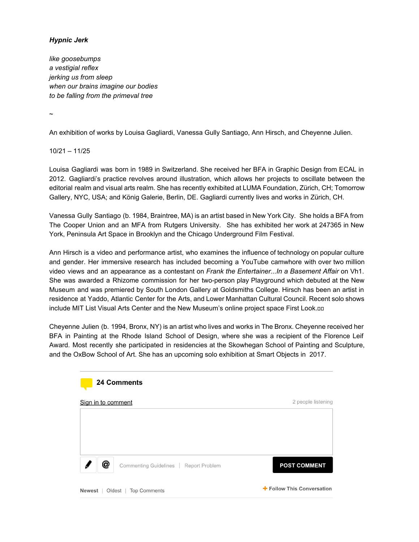My meds are known to cause this. Sometimes if I'm just super-relaxed, I twitch. My sleep doctor said it's my brain sending out a signal to make sure everything's still there;). △ Like <> Reply cherylsavino Oct 3, 2015 I read this phenomenon could be from a thyroid issue. △ Like <> Reply **LGato** Oct 2, 2015 What about those of us that jerk awake, suddenly, upon achieving orgasm?

△ Like < Reply

## claire.shefchik

I don't understand. How does this relate to Taylor Swift?

△ Like <>>
Reply 2 people like this.

#### **Znatok**

It is also possible that when you change your position in sleep some subtle nerve is touched as to trigger unforseen reaction.

Sep 30, 2015

Sep 30, 2015

| <b>S Like</b> A Reply |                                                            | $1$ Flag     |
|-----------------------|------------------------------------------------------------|--------------|
| <b>Funduro</b>        |                                                            | Sep 28, 2015 |
|                       | Primadonald Trump is a jerk asleep and awake.              |              |
|                       | <b>S Like</b> $\triangle$ <b>Reply</b> 4 people like this. |              |
|                       | fastlanestranger                                           | Sep 28, 2015 |
|                       | So on topic!                                               |              |
|                       | <b>S Like</b> $\iff$ <b>Reply</b> 2 people like this.      |              |
|                       | mikesommers14                                              | Sep 30, 2015 |
|                       | @Funduro You're an idiot.                                  |              |
|                       | <b>S Like</b> $\Diamond$ <b>Reply</b> 1 person likes this. |              |
| axamoto               |                                                            | Sep 28, 2015 |

Because of Satan.

d Like  $\triangle$  Reply 3 people like this.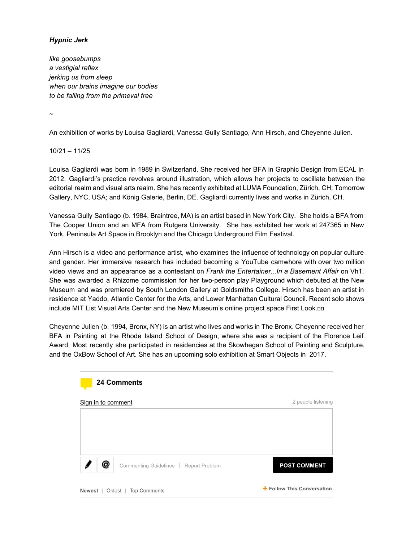#### evilito

Because you're unhappy, unfulfilled and empty, and the muscle jerks are a manifestation of your psyche's deep malaise, as it tries futilely to force a modicum of vitality to your dim existence?

**3 Like**  $\iff$  **Reply** 6 people like this.

# dwayne.stephenson

No. I was really falling.

**3 Like**  $\Diamond$  **Reply** 1 person likes this.

**ValerieV** 

Sep 28, 2015

Sep 28, 2015